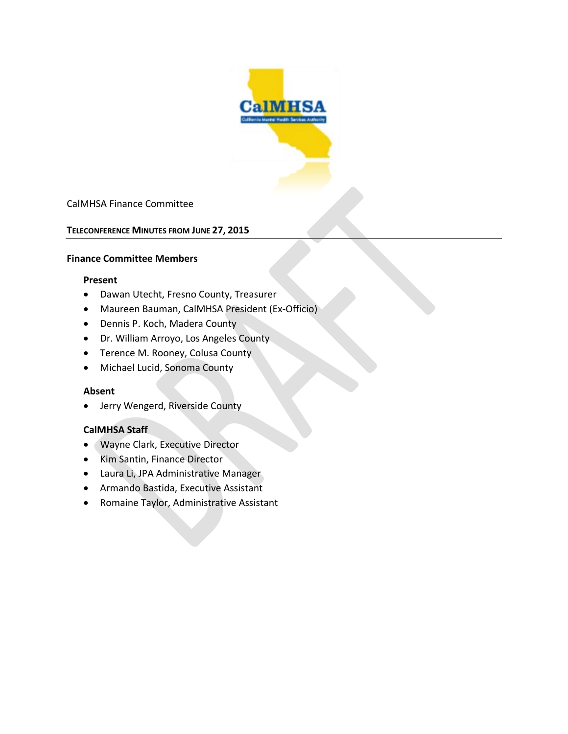

## CalMHSA Finance Committee

#### **TELECONFERENCE MINUTES FROM JUNE 27, 2015**

#### **Finance Committee Members**

#### **Present**

- Dawan Utecht, Fresno County, Treasurer
- Maureen Bauman, CalMHSA President (Ex-Officio)
- Dennis P. Koch, Madera County
- Dr. William Arroyo, Los Angeles County
- Terence M. Rooney, Colusa County
- Michael Lucid, Sonoma County

#### **Absent**

• Jerry Wengerd, Riverside County

#### **CalMHSA Staff**

- Wayne Clark, Executive Director
- Kim Santin, Finance Director
- Laura Li, JPA Administrative Manager
- Armando Bastida, Executive Assistant
- Romaine Taylor, Administrative Assistant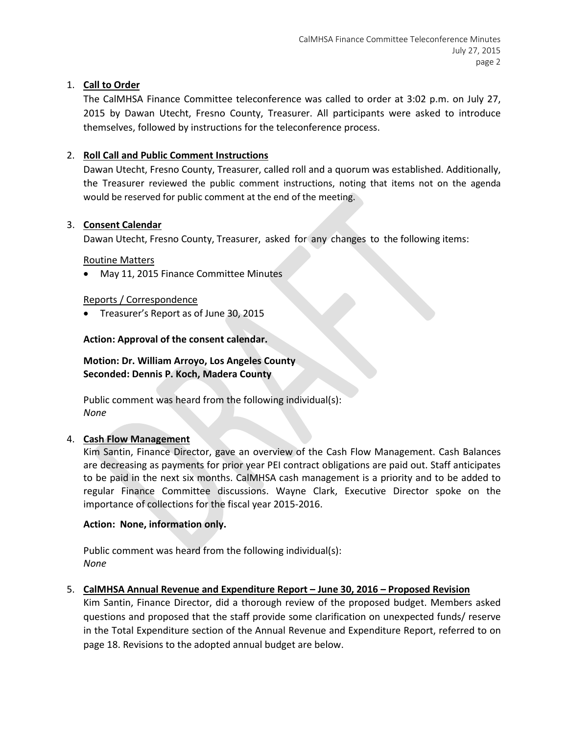# 1. **Call to Order**

The CalMHSA Finance Committee teleconference was called to order at 3:02 p.m. on July 27, 2015 by Dawan Utecht, Fresno County, Treasurer. All participants were asked to introduce themselves, followed by instructions for the teleconference process.

# 2. **Roll Call and Public Comment Instructions**

Dawan Utecht, Fresno County, Treasurer, called roll and a quorum was established. Additionally, the Treasurer reviewed the public comment instructions, noting that items not on the agenda would be reserved for public comment at the end of the meeting.

## 3. **Consent Calendar**

Dawan Utecht, Fresno County, Treasurer, asked for any changes to the following items:

Routine Matters

• May 11, 2015 Finance Committee Minutes

## Reports / Correspondence

• Treasurer's Report as of June 30, 2015

# **Action: Approval of the consent calendar.**

# **Motion: Dr. William Arroyo, Los Angeles County Seconded: Dennis P. Koch, Madera County**

Public comment was heard from the following individual(s): *None*

## 4. **Cash Flow Management**

Kim Santin, Finance Director, gave an overview of the Cash Flow Management. Cash Balances are decreasing as payments for prior year PEI contract obligations are paid out. Staff anticipates to be paid in the next six months. CalMHSA cash management is a priority and to be added to regular Finance Committee discussions. Wayne Clark, Executive Director spoke on the importance of collections for the fiscal year 2015-2016.

## **Action: None, information only.**

Public comment was heard from the following individual(s): *None*

## 5. **CalMHSA Annual Revenue and Expenditure Report – June 30, 2016 – Proposed Revision**

Kim Santin, Finance Director, did a thorough review of the proposed budget. Members asked questions and proposed that the staff provide some clarification on unexpected funds/ reserve in the Total Expenditure section of the Annual Revenue and Expenditure Report, referred to on page 18. Revisions to the adopted annual budget are below.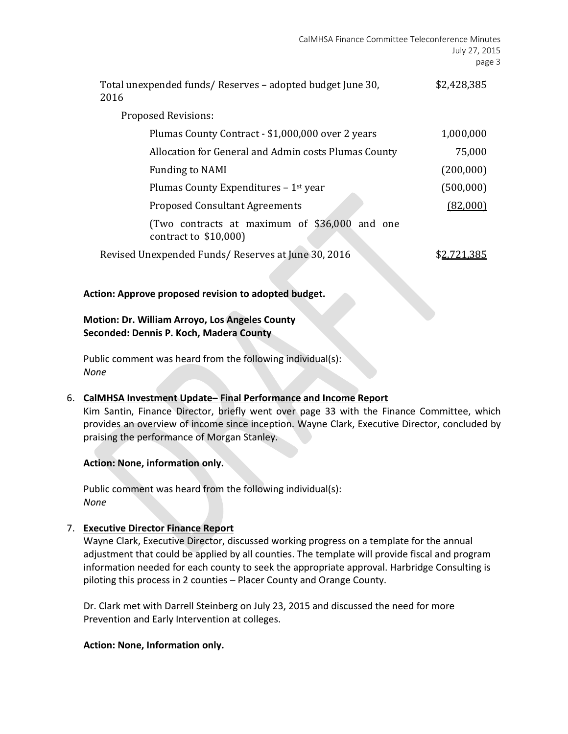| Total unexpended funds/Reserves - adopted budget June 30,<br>2016      | \$2,428,385 |
|------------------------------------------------------------------------|-------------|
| <b>Proposed Revisions:</b>                                             |             |
| Plumas County Contract - \$1,000,000 over 2 years                      | 1,000,000   |
| Allocation for General and Admin costs Plumas County                   | 75,000      |
| <b>Funding to NAMI</b>                                                 | (200,000)   |
| Plumas County Expenditures - 1 <sup>st</sup> year                      | (500,000)   |
| <b>Proposed Consultant Agreements</b>                                  | (82.000)    |
| (Two contracts at maximum of \$36,000 and one<br>contract to $$10,000$ |             |
| Revised Unexpended Funds/Reserves at June 30, 2016                     |             |

#### **Action: Approve proposed revision to adopted budget.**

**Motion: Dr. William Arroyo, Los Angeles County Seconded: Dennis P. Koch, Madera County**

Public comment was heard from the following individual(s): *None*

## 6. **CalMHSA Investment Update– Final Performance and Income Report**

Kim Santin, Finance Director, briefly went over page 33 with the Finance Committee, which provides an overview of income since inception. Wayne Clark, Executive Director, concluded by praising the performance of Morgan Stanley.

#### **Action: None, information only.**

Public comment was heard from the following individual(s): *None*

## 7. **Executive Director Finance Report**

Wayne Clark, Executive Director, discussed working progress on a template for the annual adjustment that could be applied by all counties. The template will provide fiscal and program information needed for each county to seek the appropriate approval. Harbridge Consulting is piloting this process in 2 counties – Placer County and Orange County.

Dr. Clark met with Darrell Steinberg on July 23, 2015 and discussed the need for more Prevention and Early Intervention at colleges.

#### **Action: None, Information only.**